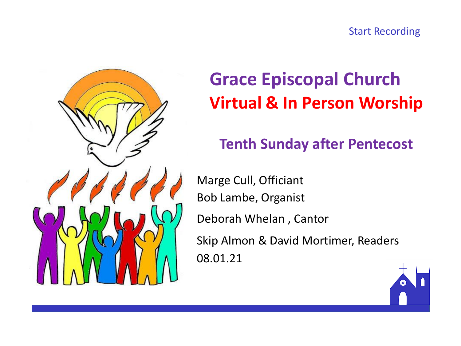



# **Grace Episcopal Church Virtual & In Person Worship**

### **Tenth Sunday after Pentecost**

Marge Cull, Officiant Bob Lambe, Organist Deborah Whelan , Cantor Skip Almon & David Mortimer, Readers 08.01.21

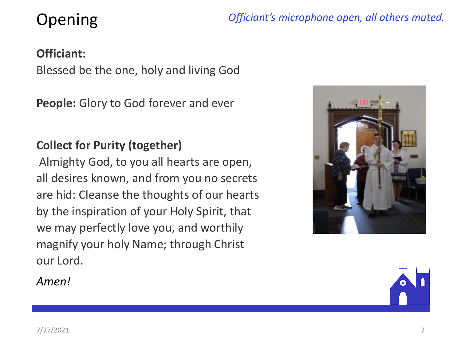## Opening

*Officiant's microphone open, all others muted.*

#### **Officiant:**

Blessed be the one, holy and living God

**People:** Glory to God forever and ever

#### **Collect for Purity (together)**

Almighty God, to you all hearts are open, all desires known, and from you no secrets are hid: Cleanse the thoughts of our hearts by the inspiration of your Holy Spirit, that we may perfectly love you, and worthily magnify your holy Name; through Christ our Lord.



*Amen!*

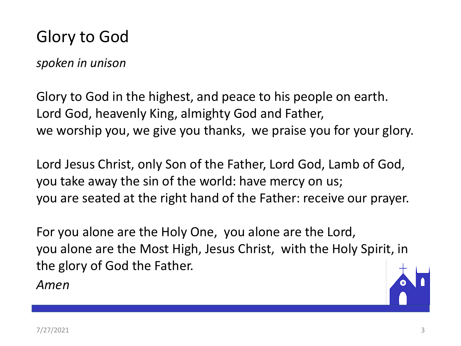### Glory to God

*spoken in unison*

Glory to God in the highest, and peace to his people on earth. Lord God, heavenly King, almighty God and Father, we worship you, we give you thanks, we praise you for your glory.

Lord Jesus Christ, only Son of the Father, Lord God, Lamb of God, you take away the sin of the world: have mercy on us; you are seated at the right hand of the Father: receive our prayer.

For you alone are the Holy One, you alone are the Lord, you alone are the Most High, Jesus Christ, with the Holy Spirit, in the glory of God the Father.

*Amen*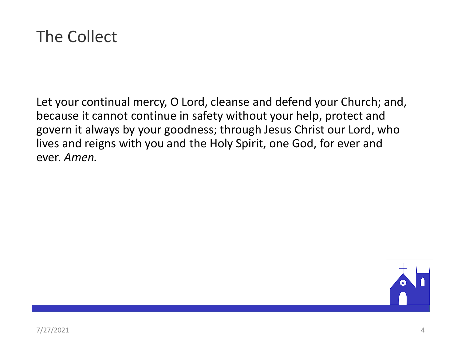

Let your continual mercy, O Lord, cleanse and defend your Church; and, because it cannot continue in safety without your help, protect and govern it always by your goodness; through Jesus Christ our Lord, who lives and reigns with you and the Holy Spirit, one God, for ever and ever. *Amen.*

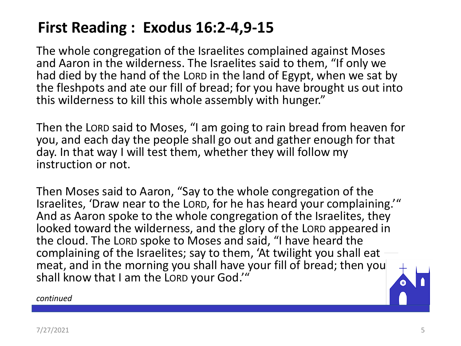### **First Reading : Exodus 16:2-4,9-15**

The whole congregation of the Israelites complained against Moses and Aaron in the wilderness. The Israelites said to them, "If only we had died by the hand of the LORD in the land of Egypt, when we sat by the fleshpots and ate our fill of bread; for you have brought us out into this wilderness to kill this whole assembly with hunger."

Then the LORD said to Moses, "I am going to rain bread from heaven for you, and each day the people shall go out and gather enough for that day. In that way I will test them, whether they will follow my instruction or not.

Then Moses said to Aaron, "Say to the whole congregation of the Israelites, 'Draw near to the LORD, for he has heard your complaining.'" And as Aaron spoke to the whole congregation of the Israelites, they looked toward the wilderness, and the glory of the LORD appeared in the cloud. The LORD spoke to Moses and said, "I have heard the complaining of the Israelites; say to them, 'At twilight you shall eat meat, and in the morning you shall have your fill of bread; then you shall know that I am the LORD your God.'"

*continued*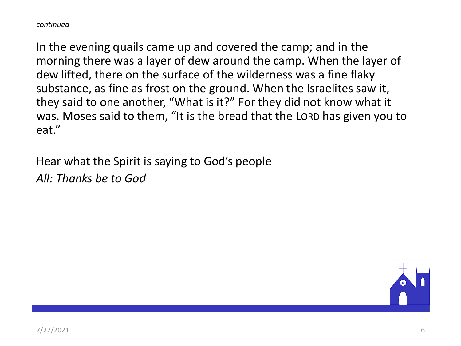*continued*

In the evening quails came up and covered the camp; and in the morning there was a layer of dew around the camp. When the layer of dew lifted, there on the surface of the wilderness was a fine flaky substance, as fine as frost on the ground. When the Israelites saw it, they said to one another, "What is it?" For they did not know what it was. Moses said to them, "It is the bread that the LORD has given you to eat."

Hear what the Spirit is saying to God's people *All: Thanks be to God*

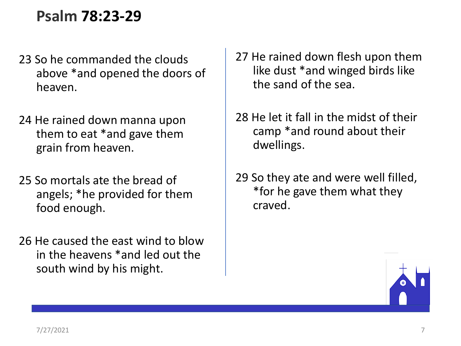### **Psalm 78:23-29**

- 23 So he commanded the clouds above \*and opened the doors of heaven.
- 24 He rained down manna upon them to eat \*and gave them grain from heaven.
- 25 So mortals ate the bread of angels; \*he provided for them food enough.
- 26 He caused the east wind to blow in the heavens \*and led out the south wind by his might.
- 27 He rained down flesh upon them like dust \*and winged birds like the sand of the sea.
- 28 He let it fall in the midst of their camp \*and round about their dwellings.
- 29 So they ate and were well filled, \*for he gave them what they craved.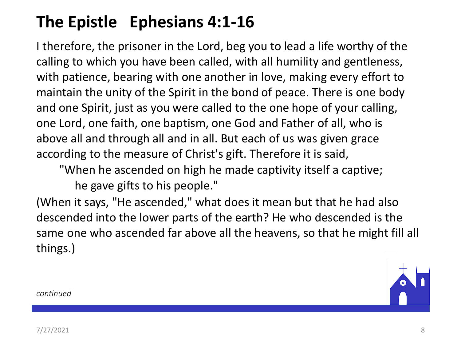## **The Epistle Ephesians 4:1-16**

I therefore, the prisoner in the Lord, beg you to lead a life worthy of the calling to which you have been called, with all humility and gentleness, with patience, bearing with one another in love, making every effort to maintain the unity of the Spirit in the bond of peace. There is one body and one Spirit, just as you were called to the one hope of your calling, one Lord, one faith, one baptism, one God and Father of all, who is above all and through all and in all. But each of us was given grace according to the measure of Christ's gift. Therefore it is said,

"When he ascended on high he made captivity itself a captive; he gave gifts to his people."

(When it says, "He ascended," what does it mean but that he had also descended into the lower parts of the earth? He who descended is the same one who ascended far above all the heavens, so that he might fill all things.)



*continued*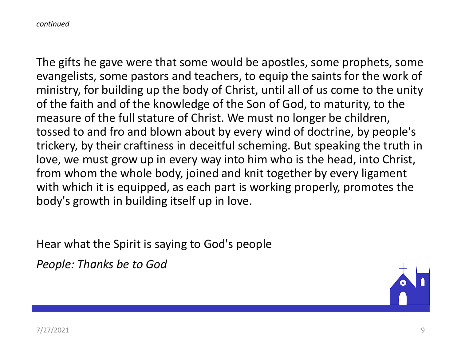*continued*

The gifts he gave were that some would be apostles, some prophets, some evangelists, some pastors and teachers, to equip the saints for the work of ministry, for building up the body of Christ, until all of us come to the unity of the faith and of the knowledge of the Son of God, to maturity, to the measure of the full stature of Christ. We must no longer be children, tossed to and fro and blown about by every wind of doctrine, by people's trickery, by their craftiness in deceitful scheming. But speaking the truth in love, we must grow up in every way into him who is the head, into Christ, from whom the whole body, joined and knit together by every ligament with which it is equipped, as each part is working properly, promotes the body's growth in building itself up in love.

Hear what the Spirit is saying to God's people

*People: Thanks be to God*

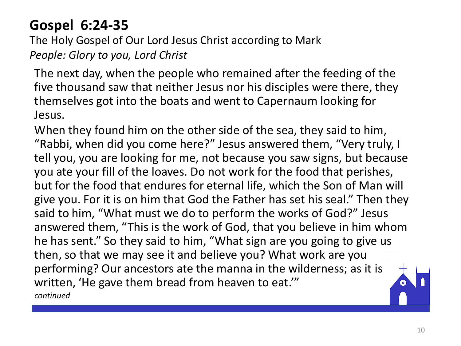### **Gospel 6:24-35**

The Holy Gospel of Our Lord Jesus Christ according to Mark *People: Glory to you, Lord Christ*

The next day, when the people who remained after the feeding of the five thousand saw that neither Jesus nor his disciples were there, they themselves got into the boats and went to Capernaum looking for Jesus.

When they found him on the other side of the sea, they said to him, "Rabbi, when did you come here?" Jesus answered them, "Very truly, I tell you, you are looking for me, not because you saw signs, but because you ate your fill of the loaves. Do not work for the food that perishes, but for the food that endures for eternal life, which the Son of Man will give you. For it is on him that God the Father has set his seal." Then they said to him, "What must we do to perform the works of God?" Jesus answered them, "This is the work of God, that you believe in him whom he has sent." So they said to him, "What sign are you going to give us then, so that we may see it and believe you? What work are you performing? Our ancestors ate the manna in the wilderness; as it is written, 'He gave them bread from heaven to eat.'" *continued*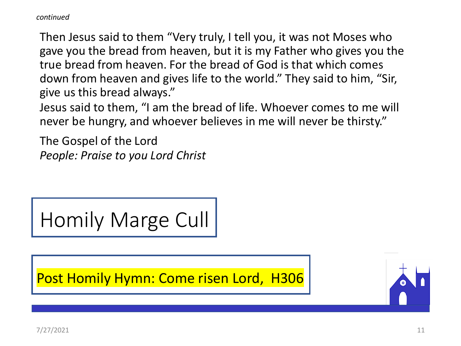*continued*

Then Jesus said to them "Very truly, I tell you, it was not Moses who gave you the bread from heaven, but it is my Father who gives you the true bread from heaven. For the bread of God is that which comes down from heaven and gives life to the world." They said to him, "Sir, give us this bread always."

Jesus said to them, "I am the bread of life. Whoever comes to me will never be hungry, and whoever believes in me will never be thirsty."

The Gospel of the Lord *People: Praise to you Lord Christ*

Homily Marge Cull

Post Homily Hymn: Come risen Lord, H306

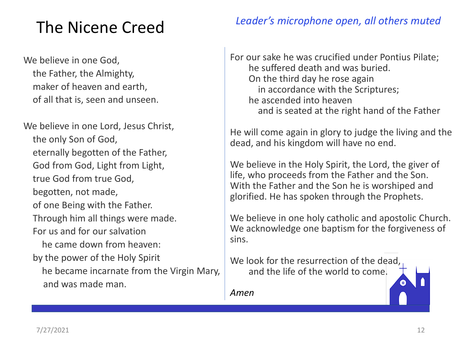## The Nicene Creed

We believe in one God, the Father, the Almighty, maker of heaven and earth, of all that is, seen and unseen.

We believe in one Lord, Jesus Christ, the only Son of God, eternally begotten of the Father, God from God, Light from Light, true God from true God, begotten, not made, of one Being with the Father. Through him all things were made. For us and for our salvation he came down from heaven: by the power of the Holy Spirit he became incarnate from the Virgin Mary, and was made man.

#### *Leader's microphone open, all others muted*

For our sake he was crucified under Pontius Pilate; he suffered death and was buried. On the third day he rose again in accordance with the Scriptures; he ascended into heaven and is seated at the right hand of the Father

He will come again in glory to judge the living and the dead, and his kingdom will have no end.

We believe in the Holy Spirit, the Lord, the giver of life, who proceeds from the Father and the Son. With the Father and the Son he is worshiped and glorified. He has spoken through the Prophets.

We believe in one holy catholic and apostolic Church. We acknowledge one baptism for the forgiveness of sins.

We look for the resurrection of the dead, and the life of the world to come.

*Amen*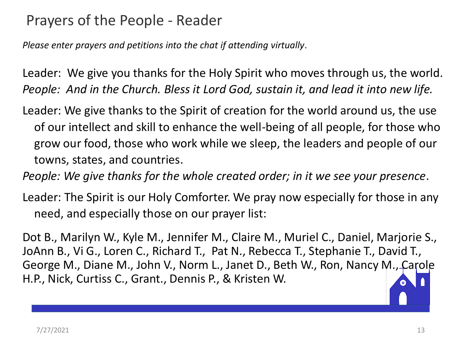### Prayers of the People - Reader

*Please enter prayers and petitions into the chat if attending virtually*.

Leader: We give you thanks for the Holy Spirit who moves through us, the world. *People: And in the Church. Bless it Lord God, sustain it, and lead it into new life.*

Leader: We give thanks to the Spirit of creation for the world around us, the use of our intellect and skill to enhance the well-being of all people, for those who grow our food, those who work while we sleep, the leaders and people of our towns, states, and countries.

*People: We give thanks for the whole created order; in it we see your presence*.

Leader: The Spirit is our Holy Comforter. We pray now especially for those in any need, and especially those on our prayer list:

Dot B., Marilyn W., Kyle M., Jennifer M., Claire M., Muriel C., Daniel, Marjorie S., JoAnn B., Vi G., Loren C., Richard T., Pat N., Rebecca T., Stephanie T., David T., George M., Diane M., John V., Norm L., Janet D., Beth W., Ron, Nancy M., Carole H.P., Nick, Curtiss C., Grant., Dennis P., & Kristen W.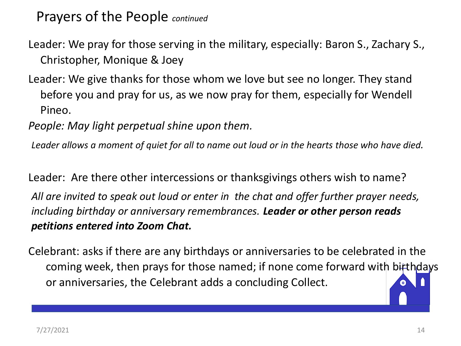Prayers of the People *continued*

Leader: We pray for those serving in the military, especially: Baron S., Zachary S., Christopher, Monique & Joey

Leader: We give thanks for those whom we love but see no longer. They stand before you and pray for us, as we now pray for them, especially for Wendell Pineo.

*People: May light perpetual shine upon them.*

*Leader allows a moment of quiet for all to name out loud or in the hearts those who have died.*

Leader: Are there other intercessions or thanksgivings others wish to name?

*All are invited to speak out loud or enter in the chat and offer further prayer needs, including birthday or anniversary remembrances. Leader or other person reads petitions entered into Zoom Chat.*

Celebrant: asks if there are any birthdays or anniversaries to be celebrated in the coming week, then prays for those named; if none come forward with birthdays or anniversaries, the Celebrant adds a concluding Collect.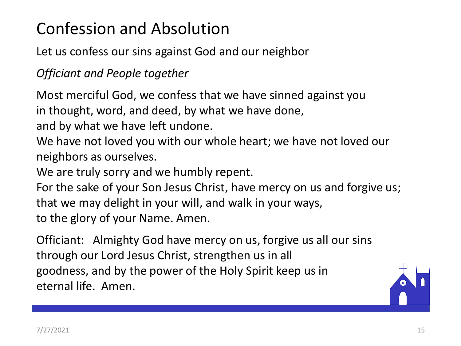## Confession and Absolution

Let us confess our sins against God and our neighbor

*Officiant and People together*

Most merciful God, we confess that we have sinned against you in thought, word, and deed, by what we have done,

and by what we have left undone.

We have not loved you with our whole heart; we have not loved our neighbors as ourselves.

We are truly sorry and we humbly repent.

For the sake of your Son Jesus Christ, have mercy on us and forgive us; that we may delight in your will, and walk in your ways, to the glory of your Name. Amen.

Officiant: Almighty God have mercy on us, forgive us all our sins through our Lord Jesus Christ, strengthen us in all goodness, and by the power of the Holy Spirit keep us in eternal life. Amen.

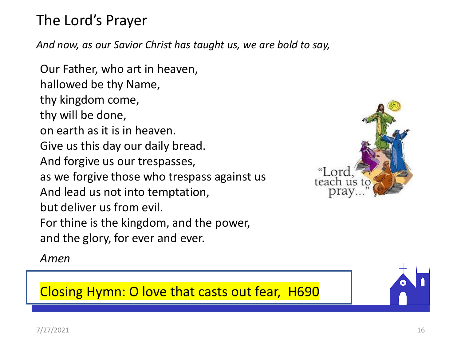### The Lord's Prayer

*And now, as our Savior Christ has taught us, we are bold to say,*

Our Father, who art in heaven, hallowed be thy Name, thy kingdom come, thy will be done, on earth as it is in heaven. Give us this day our daily bread. And forgive us our trespasses, as we forgive those who trespass against us And lead us not into temptation, but deliver us from evil. For thine is the kingdom, and the power, and the glory, for ever and ever.

*Amen*



Closing Hymn: O love that casts out fear, H690

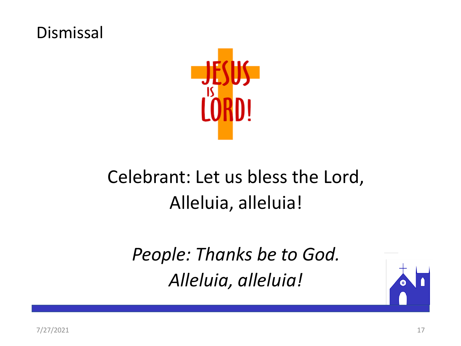### Dismissal



# Celebrant: Let us bless the Lord, Alleluia, alleluia!

*People: Thanks be to God. Alleluia, alleluia!*